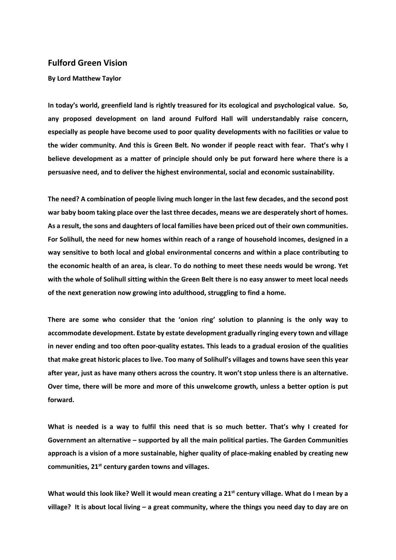## **Fulford Green Vision**

## **By Lord Matthew Taylor**

**In today's world, greenfield land is rightly treasured for its ecological and psychological value. So, any proposed development on land around Fulford Hall will understandably raise concern, especially as people have become used to poor quality developments with no facilities or value to the wider community. And this is Green Belt. No wonder if people react with fear. That's why I believe development as a matter of principle should only be put forward here where there is a persuasive need, and to deliver the highest environmental, social and economic sustainability.**

**The need? A combination of people living much longer in the last few decades, and the second post war baby boom taking place over the last three decades, means we are desperately short of homes. As a result, the sons and daughters of local families have been priced out of their own communities. For Solihull, the need for new homes within reach of a range of household incomes, designed in a way sensitive to both local and global environmental concerns and within a place contributing to the economic health of an area, is clear. To do nothing to meet these needs would be wrong. Yet with the whole of Solihull sitting within the Green Belt there is no easy answer to meet local needs of the next generation now growing into adulthood, struggling to find a home.**

**There are some who consider that the 'onion ring' solution to planning is the only way to accommodate development. Estate by estate development gradually ringing every town and village in never ending and too often poor-quality estates. This leads to a gradual erosion of the qualities that make great historic places to live. Too many of Solihull's villages and towns have seen this year after year, just as have many others across the country. It won't stop unless there is an alternative. Over time, there will be more and more of this unwelcome growth, unless a better option is put forward.**

**What is needed is a way to fulfil this need that is so much better. That's why I created for Government an alternative – supported by all the main political parties. The Garden Communities approach is a vision of a more sustainable, higher quality of place-making enabled by creating new communities, 21st century garden towns and villages.**

**What would this look like? Well it would mean creating a 21st century village. What do I mean by a village? It is about local living – a great community, where the things you need day to day are on**